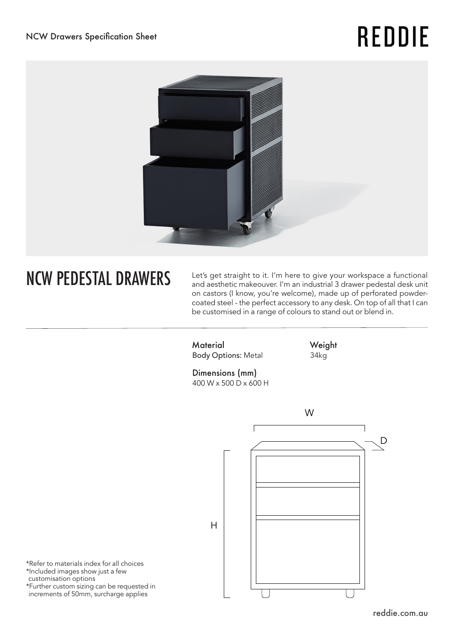## **REDDIE**



NCW PEDESTAL DRAWERS Let's get straight to it. I'm here to give your workspace a functional and aesthetic makeouver. I'm an industrial 3 drawer pedestal desk unit on castors (I know, you're welcome), made up of perforated powdercoated steel - the perfect accessory to any desk. On top of all that I can be customised in a range of colours to stand out or blend in.

> **Material** Body Options: Metal

**Weight** 34kg

Dimensions (mm) 400 W x 500 D x 600 H



\*Refer to materials index for all choices \*Included images show just a few customisation options \*Further custom sizing can be requested in increments of 50mm, surcharge applies